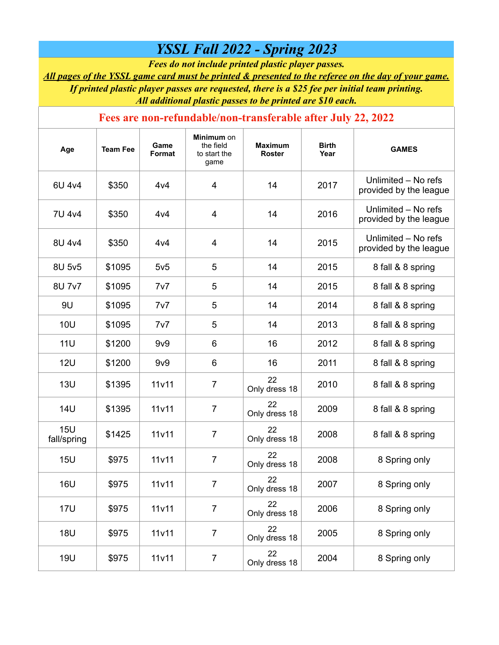## *YSSL Fall 2022 - Spring 2023*

*Fees do not include printed plastic player passes.*

*All pages of the YSSL game card must be printed & presented to the referee on the day of your game. If printed plastic player passes are requested, there is a \$25 fee per initial team printing. All additional plastic passes to be printed are \$10 each.*

## **Fees are non-refundable/non-transferable after July 22, 2022**

| Age                | <b>Team Fee</b> | Game<br>Format     | <b>Minimum</b> on<br>the field<br>to start the<br>game | <b>Maximum</b><br><b>Roster</b> | <b>Birth</b><br>Year | <b>GAMES</b>                                  |
|--------------------|-----------------|--------------------|--------------------------------------------------------|---------------------------------|----------------------|-----------------------------------------------|
| 6U 4v4             | \$350           | 4v4                | 4                                                      | 14                              | 2017                 | Unlimited - No refs<br>provided by the league |
| 7U 4v4             | \$350           | 4v4                | $\overline{4}$                                         | 14                              | 2016                 | Unlimited - No refs<br>provided by the league |
| 8U 4v4             | \$350           | 4v4                | $\overline{4}$                                         | 14                              | 2015                 | Unlimited - No refs<br>provided by the league |
| 8U 5v5             | \$1095          | 5v5                | 5                                                      | 14                              | 2015                 | 8 fall & 8 spring                             |
| 8U 7v7             | \$1095          | 7v7                | 5                                                      | 14                              | 2015                 | 8 fall & 8 spring                             |
| 9U                 | \$1095          | 7v7                | 5                                                      | 14                              | 2014                 | 8 fall & 8 spring                             |
| <b>10U</b>         | \$1095          | 7v7                | 5                                                      | 14                              | 2013                 | 8 fall & 8 spring                             |
| <b>11U</b>         | \$1200          | 9v9                | 6                                                      | 16                              | 2012                 | 8 fall & 8 spring                             |
| 12U                | \$1200          | 9v9                | $6\phantom{1}6$                                        | 16                              | 2011                 | 8 fall & 8 spring                             |
| <b>13U</b>         | \$1395          | 11v11              | $\overline{7}$                                         | 22<br>Only dress 18             | 2010                 | 8 fall & 8 spring                             |
| <b>14U</b>         | \$1395          | 11v11              | $\overline{7}$                                         | 22<br>Only dress 18             | 2009                 | 8 fall & 8 spring                             |
| 15U<br>fall/spring | \$1425          | 11v11              | $\overline{7}$                                         | 22<br>Only dress 18             | 2008                 | 8 fall & 8 spring                             |
| <b>15U</b>         | \$975           | 11 <sub>v</sub> 11 | $\overline{7}$                                         | 22<br>Only dress 18             | 2008                 | 8 Spring only                                 |
| <b>16U</b>         | \$975           | 11v11              | $\overline{7}$                                         | 22<br>Only dress 18             | 2007                 | 8 Spring only                                 |
| <b>17U</b>         | \$975           | 11v11              | $\overline{7}$                                         | 22<br>Only dress 18             | 2006                 | 8 Spring only                                 |
| <b>18U</b>         | \$975           | 11v11              | $\overline{7}$                                         | 22<br>Only dress 18             | 2005                 | 8 Spring only                                 |
| <b>19U</b>         | \$975           | 11v11              | $\overline{7}$                                         | 22<br>Only dress 18             | 2004                 | 8 Spring only                                 |